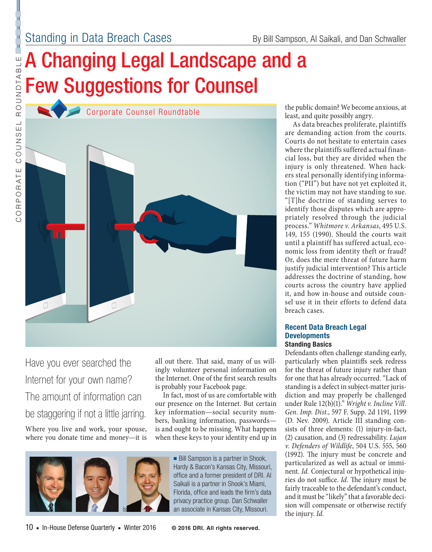CORPORATE COUNSEL ROUNDTABLE

COUNS

ORPORATE

 $\overline{\odot}$ 

 $\frac{1}{11}$ 

Ľ

ROUNDTABLE

# A Changing Legal Landscape and a Few Suggestions for Counsel



Have you ever searched the Internet for your own name? The amount of information can be staggering if not a little jarring. Where you live and work, your spouse, where you donate time and money—it is all out there. That said, many of us willingly volunteer personal information on the Internet. One of the first search results is probably your Facebook page.

In fact, most of us are comfortable with our presence on the Internet. But certain key information—social security numbers, banking information, passwords is and ought to be missing. What happens when these keys to your identity end up in



■ Bill Sampson is a partner in Shook, Hardy & Bacon's Kansas City, Missouri, office and a former president of DRI. Al Saikali is a partner in Shook's Miami, Florida, office and leads the firm's data privacy practice group. Dan Schwaller an associate in Kansas City, Missouri.

the public domain? We become anxious, at least, and quite possibly angry.

As data breaches proliferate, plaintiffs are demanding action from the courts. Courts do not hesitate to entertain cases where the plaintiffs suffered actual financial loss, but they are divided when the injury is only threatened. When hackers steal personally identifying information ("PII") but have not yet exploited it, the victim may not have standing to sue. "[T]he doctrine of standing serves to identify those disputes which are appropriately resolved through the judicial process." *Whitmore v. Arkansas*, 495 U.S. 149, 155 (1990). Should the courts wait until a plaintiff has suffered actual, economic loss from identity theft or fraud? Or, does the mere threat of future harm justify judicial intervention? This article addresses the doctrine of standing, how courts across the country have applied it, and how in-house and outside counsel use it in their efforts to defend data breach cases.

#### **Recent Data Breach Legal Developments Standing Basics**

Defendants often challenge standing early, particularly when plaintiffs seek redress for the threat of future injury rather than for one that has already occurred. "Lack of standing is a defect in subject-matter jurisdiction and may properly be challenged under Rule 12(b)(1)." *Wright v. Incline Vill. Gen. Imp. Dist.*, 597 F. Supp. 2d 1191, 1199 (D. Nev. 2009). Article III standing consists of three elements: (1) injury-in-fact, (2) causation, and (3) redressability. *Lujan v. Defenders of Wildlife*, 504 U.S. 555, 560 (1992). The injury must be concrete and particularized as well as actual or imminent. *Id.* Conjectural or hypothetical injuries do not suffice. *Id.* The injury must be fairly traceable to the defendant's conduct, and it must be "likely" that a favorable decision will compensate or otherwise rectify the injury. *Id.*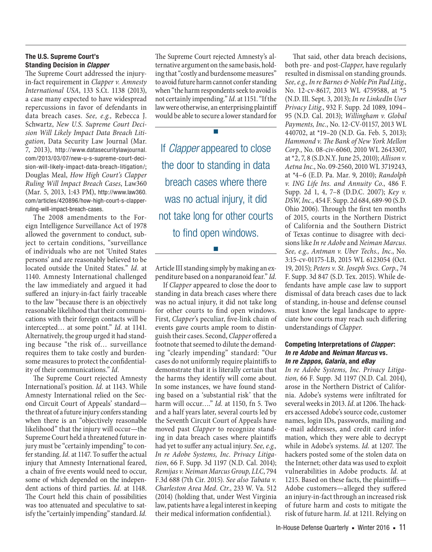#### **The U.S. Supreme Court's Standing Decision in** *Clapper*

The Supreme Court addressed the injuryin-fact requirement in *Clapper v. Amnesty International USA*, 133 S.Ct. 1138 (2013), a case many expected to have widespread repercussions in favor of defendants in data breach cases. *See, e.g.,* Rebecca J. Schwartz, *New U.S. Supreme Court Decision Will Likely Impact Data Breach Litigation*, Data Security Law Journal (Mar. 7, 2013), http://www.datasecuritylawjournal. com/2013/03/07/new-u-s-supreme-court-decision-will-likely-impact-data-breach-litigation/; Douglas Meal, *How High Court's Clapper Ruling Will Impact Breach Cases*, Law360 (Mar. 5, 2013, 1:43 PM), http://www.law360. com/articles/420896/how-high-court-s-clapperruling-will-impact-breach-cases.

The 2008 amendments to the Foreign Intelligence Surveillance Act of 1978 allowed the government to conduct, subject to certain conditions, "surveillance of individuals who are not 'United States persons' and are reasonably believed to be located outside the United States." *Id.* at 1140. Amnesty International challenged the law immediately and argued it had suffered an injury-in-fact fairly traceable to the law "because there is an objectively reasonable likelihood that their communications with their foreign contacts will be intercepted… at some point." *Id.* at 1141. Alternatively, the group urged it had standing because "the risk of… surveillance requires them to take costly and burdensome measures to protect the confidentiality of their communications." *Id.*

The Supreme Court rejected Amnesty International's position. *Id.* at 1143. While Amnesty International relied on the Second Circuit Court of Appeals' standard the threat of a future injury confers standing when there is an "objectively reasonable likelihood" that the injury will occur—the Supreme Court held a threatened future injury must be "certainly impending" to confer standing. *Id.* at 1147. To suffer the actual injury that Amnesty International feared, a chain of five events would need to occur, some of which depended on the independent actions of third parties. *Id.* at 1148. The Court held this chain of possibilities was too attenuated and speculative to satisfy the "certainly impending" standard. *Id.* 

The Supreme Court rejected Amnesty's alternative argument on the same basis, holding that "costly and burdensome measures" to avoid future harm cannot confer standing when "the harm respondents seek to avoid is not certainly impending." *Id.* at 1151. "If the law were otherwise, an enterprising plaintiff would be able to secure a lower standard for

■

If *Clapper* appeared to close the door to standing in data breach cases where there was no actual injury, it did not take long for other courts to find open windows.

Article III standing simply by making an expenditure based on a nonparanoid fear." *Id.*

■

If *Clapper* appeared to close the door to standing in data breach cases where there was no actual injury, it did not take long for other courts to find open windows. First, *Clapper*'s peculiar, five-link chain of events gave courts ample room to distinguish their cases. Second, *Clapper* offered a footnote that seemed to dilute the demanding "clearly impending" standard: "Our cases do not uniformly require plaintiffs to demonstrate that it is literally certain that the harms they identify will come about. In some instances, we have found standing based on a 'substantial risk' that the harm will occur…." *Id.* at 1150, fn 5. Two and a half years later, several courts led by the Seventh Circuit Court of Appeals have moved past *Clapper* to recognize standing in data breach cases where plaintiffs had yet to suffer any actual injury. *See, e.g., In re Adobe Systems, Inc. Privacy Litigation*, 66 F. Supp. 3d 1197 (N.D. Cal. 2014); *Remijas v. Neiman Marcus Group, LLC*, 794 F.3d 688 (7th Cir. 2015). *See also Tabata v. Charleston Area Med. Ctr.*, 233 W. Va. 512 (2014) (holding that, under West Virginia law, patients have a legal interest in keeping their medical information confidential.).

That said, other data breach decisions, both pre- and post-*Clapper*, have regularly resulted in dismissal on standing grounds. *See, e.g., In re Barnes & Noble Pin Pad Litig.*, No. 12-cv-8617, 2013 WL 4759588, at \*5 (N.D. Ill. Sept. 3, 2013); *In re LinkedIn User Privacy Litig.*, 932 F. Supp. 2d 1089, 1094– 95 (N.D. Cal. 2013); *Willingham v. Global Payments, Inc.*, No. 12-CV-01157, 2013 WL 440702, at \*19–20 (N.D. Ga. Feb. 5, 2013); *Hammond v. The Bank of New York Mellon Corp.*, No. 08-civ-6060, 2010 WL 2643307, at \*2, 7, 8 (S.D.N.Y. June 25, 2010); *Allison v. Aetna Inc.*, No. 09-2560, 2010 WL 3719243, at \*4–6 (E.D. Pa. Mar. 9, 2010); *Randolph v. ING Life Ins. and Annuity Co.*, 486 F. Supp. 2d 1, 4, 7–8 (D.D.C. 2007); *Key v. DSW, Inc.*, 454 F. Supp. 2d 684, 689-90 (S.D. Ohio 2006). Through the first ten months of 2015, courts in the Northern District of California and the Southern District of Texas continue to disagree with decisions like *In re Adobe* and *Neiman Marcus*. *See, e.g., Antman v. Uber Techs., Inc.*, No. 3:15-cv-01175-LB, 2015 WL 6123054 (Oct. 19, 2015); *Peters v. St. Joseph Svcs. Corp.*, 74 F. Supp. 3d 847 (S.D. Tex. 2015). While defendants have ample case law to support dismissal of data breach cases due to lack of standing, in-house and defense counsel must know the legal landscape to appreciate how courts may reach such differing understandings of *Clapper*.

#### **Competing Interpretations of** *Clapper***:**  *In re Adobe* **and** *Neiman Marcus* **vs***. In re Zappos***,** *Galaria***, and** *eBay*

*In re Adobe Systems, Inc. Privacy Litigation,* 66 F. Supp. 3d 1197 (N.D. Cal. 2014), arose in the Northern District of California. Adobe's systems were infiltrated for several weeks in 2013. *Id*. at 1206. The hackers accessed Adobe's source code, customer names, login IDs, passwords, mailing and e-mail addresses, and credit card information, which they were able to decrypt while in Adobe's systems. *Id.* at 1207. The hackers posted some of the stolen data on the Internet; other data was used to exploit vulnerabilities in Adobe products. *Id.* at 1215. Based on these facts, the plaintiffs— Adobe customers—alleged they suffered an injury-in-fact through an increased risk of future harm and costs to mitigate the risk of future harm. *Id.* at 1211. Relying on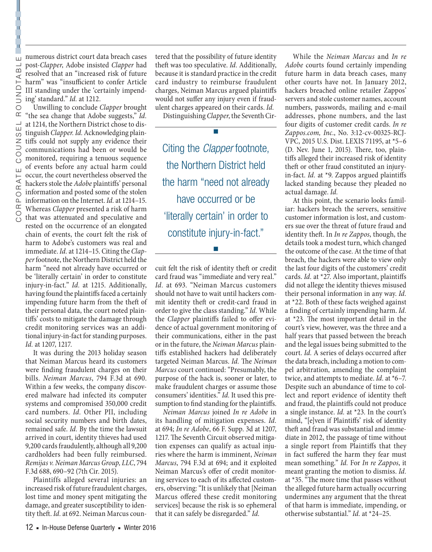post-*Clapper*, Adobe insisted *Clapper* had resolved that an "increased risk of future harm" was "insufficient to confer Article III standing under the 'certainly impending' standard." *Id.* at 1212.

α numerous district court data breach cases<br>  $\exists$  post-*Clapper*, Adobe insisted *Clapper* had<br>  $\infty$  resolved that an "increased risk of future<br>  $\leftarrow$  harm" was "insufficient to confer Article<br>  $\Box$  III standing under Unwilling to conclude *Clapper* brought "the sea change that Adobe suggests," *Id.*  at 1214, the Northern District chose to distinguish *Clapper. Id.* Acknowledging plaintiffs could not supply any evidence their communications had been or would be monitored, requiring a tenuous sequence of events before any actual harm could occur, the court nevertheless observed the hackers stole the *Adobe* plaintiffs' personal information and posted some of the stolen information on the Internet. *Id.* at 1214–15. Whereas *Clapper* presented a risk of harm that was attenuated and speculative and rested on the occurrence of an elongated chain of events, the court felt the risk of harm to Adobe's customers was real and immediate. *Id.* at 1214–15. Citing the *Clapper* footnote, the Northern District held the harm "need not already have occurred or be 'literally certain' in order to constitute injury-in-fact." *Id.* at 1215. Additionally, having found the plaintiffs faced a certainly impending future harm from the theft of their personal data, the court noted plaintiffs' costs to mitigate the damage through credit monitoring services was an additional injury-in-fact for standing purposes. *Id.* at 1207, 1217.

It was during the 2013 holiday season that Neiman Marcus heard its customers were finding fraudulent charges on their bills. *Neiman Marcus*, 794 F.3d at 690. Within a few weeks, the company discovered malware had infected its computer systems and compromised 350,000 credit card numbers. *Id.* Other PII, including social security numbers and birth dates, remained safe. *Id.* By the time the lawsuit arrived in court, identity thieves had used 9,200 cards fraudulently, although all 9,200 cardholders had been fully reimbursed. *Remijas v. Neiman Marcus Group, LLC*, 794 F.3d 688, 690–92 (7th Cir. 2015).

Plaintiffs alleged several injuries: an increased risk of future fraudulent charges, lost time and money spent mitigating the damage, and greater susceptibility to identity theft. *Id.* at 692. Neiman Marcus countered that the possibility of future identity theft was too speculative. *Id.* Additionally, because it is standard practice in the credit card industry to reimburse fraudulent charges, Neiman Marcus argued plaintiffs would not suffer any injury even if fraudulent charges appeared on their cards. *Id.*

Distinguishing *Clapper*, the Seventh Cir-

■

Citing the *Clapper* footnote, the Northern District held the harm "need not already have occurred or be 'literally certain' in order to constitute injury-in-fact."

■

cuit felt the risk of identity theft or credit card fraud was "immediate and very real." *Id.* at 693. "Neiman Marcus customers should not have to wait until hackers commit identity theft or credit-card fraud in order to give the class standing." *Id.* While the *Clapper* plaintiffs failed to offer evidence of actual government monitoring of their communications, either in the past or in the future, the *Neiman Marcus* plaintiffs established hackers had deliberately targeted Neiman Marcus. *Id.* The *Neiman Marcus* court continued: "Presumably, the purpose of the hack is, sooner or later, to make fraudulent charges or assume those consumers' identities." *Id.* It used this presumption to find standing for the plaintiffs.

*Neiman Marcus* joined *In re Adobe* in its handling of mitigation expenses. *Id.*  at 694; *In re Adobe*, 66 F. Supp. 3d at 1207, 1217. The Seventh Circuit observed mitigation expenses can qualify as actual injuries where the harm is imminent, *Neiman Marcus*, 794 F.3d at 694; and it exploited Neiman Marcus's offer of credit monitoring services to each of its affected customers, observing:"It is unlikely that [Neiman Marcus offered these credit monitoring services] because the risk is so ephemeral that it can safely be disregarded." *Id.*

While the *Neiman Marcus* and *In re Adobe* courts found certainly impending future harm in data breach cases, many other courts have not. In January 2012, hackers breached online retailer Zappos' servers and stole customer names, account numbers, passwords, mailing and e-mail addresses, phone numbers, and the last four digits of customer credit cards. *In re Zappos.com, Inc.*, No. 3:12-cv-00325-RCJ-VPC, 2015 U.S. Dist. LEXIS 71195, at \*5–6 (D. Nev. June 1, 2015). There, too, plaintiffs alleged their increased risk of identity theft or other fraud constituted an injuryin-fact. *Id.* at \*9. Zappos argued plaintiffs lacked standing because they pleaded no actual damage. *Id.*

At this point, the scenario looks familiar: hackers breach the servers, sensitive customer information is lost, and customers sue over the threat of future fraud and identity theft. In *In re Zappos*, though, the details took a modest turn, which changed the outcome of the case. At the time of that breach, the hackers were able to view only the last four digits of the customers' credit cards. *Id.* at \*27. Also important, plaintiffs did not allege the identity thieves misused their personal information in any way. *Id.*  at \*22. Both of these facts weighed against a finding of certainly impending harm. *Id.*  at \*23. The most important detail in the court's view, however, was the three and a half years that passed between the breach and the legal issues being submitted to the court. *Id.* A series of delays occurred after the data breach, including a motion to compel arbitration, amending the complaint twice, and attempts to mediate. *Id.* at \*6–7. Despite such an abundance of time to collect and report evidence of identity theft and fraud, the plaintiffs could not produce a single instance. *Id.* at \*23. In the court's mind, "[e]ven if Plaintiffs' risk of identity theft and fraud was substantial and immediate in 2012, the passage of time without a single report from Plaintiffs that they in fact suffered the harm they fear must mean something." *Id.* For *In re Zappos*, it meant granting the motion to dismiss. *Id.* at \*35. "The more time that passes without the alleged future harm actually occurring undermines any argument that the threat of that harm is immediate, impending, or otherwise substantial." *Id.* at \*24–25.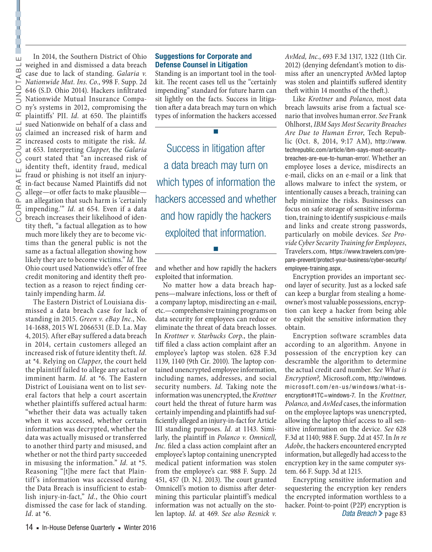In 2014, the Southern District of Ohio weighed in and dismissed a data breach case due to lack of standing. *Galaria v. Nationwide Mut. Ins. Co.*, 998 F. Supp. 2d 646 (S.D. Ohio 2014). Hackers infiltrated Nationwide Mutual Insurance Company's systems in 2012, compromising the plaintiffs' PII. *Id.* at 650. The plaintiffs sued Nationwide on behalf of a class and claimed an increased risk of harm and increased costs to mitigate the risk. *Id.*  at 653. Interpreting *Clapper*, the *Galaria*  court stated that "an increased risk of identity theft, identity fraud, medical fraud or phishing is not itself an injuryin-fact because Named Plaintiffs did not allege—or offer facts to make plausible an allegation that such harm is 'certainly impending.'" *Id.* at 654. Even if a data breach increases their likelihood of identity theft, "a factual allegation as to how much more likely they are to become victims than the general public is not the same as a factual allegation showing how likely they are to become victims." *Id.* The Ohio court used Nationwide's offer of free credit monitoring and identity theft protection as a reason to reject finding cer-

tainly impending harm. *Id.* The Eastern District of Louisiana dismissed a data breach case for lack of standing in 2015. *Green v. eBay Inc.*, No. 14-1688, 2015 WL 2066531 (E.D. La. May 4, 2015). After eBay suffered a data breach in 2014, certain customers alleged an increased risk of future identity theft. *Id.*  at \*4. Relying on *Clapper*, the court held the plaintiff failed to allege any actual or imminent harm. *Id.* at \*6. The Eastern District of Louisiana went on to list several factors that help a court ascertain whether plaintiffs suffered actual harm: "whether their data was actually taken when it was accessed, whether certain information was decrypted, whether the data was actually misused or transferred to another third party and misused, and whether or not the third party succeeded in misusing the information." *Id.* at \*5. Reasoning "[t]he mere fact that Plaintiff's information was accessed during the Data Breach is insufficient to establish injury-in-fact," *Id.*, the Ohio court dismissed the case for lack of standing. *Id.* at \*6.

### **Suggestions for Corporate and Defense Counsel in Litigation**

Standing is an important tool in the toolkit. The recent cases tell us the "certainly impending" standard for future harm can sit lightly on the facts. Success in litigation after a data breach may turn on which types of information the hackers accessed

■

Success in litigation after a data breach may turn on which types of information the hackers accessed and whether and how rapidly the hackers exploited that information.

and whether and how rapidly the hackers exploited that information.

■

No matter how a data breach happens—malware infections, loss or theft of a company laptop, misdirecting an e-mail, etc.—comprehensive training programs on data security for employees can reduce or eliminate the threat of data breach losses. In *Krottner v. Starbucks Corp.*, the plaintiff filed a class action complaint after an employee's laptop was stolen. 628 F.3d 1139, 1140 (9th Cir. 2010). The laptop contained unencrypted employee information, including names, addresses, and social security numbers. *Id.* Taking note the information was unencrypted, the *Krottner*  court held the threat of future harm was certainly impending and plaintiffs had sufficiently alleged an injury-in-fact for Article III standing purposes. *Id.* at 1143. Similarly, the plaintiff in *Polanco v. Omnicell, Inc.* filed a class action complaint after an employee's laptop containing unencrypted medical patient information was stolen from the employee's car. 988 F. Supp. 2d 451, 457 (D. N.J. 2013). The court granted Omnicell's motion to dismiss after determining this particular plaintiff's medical information was not actually on the stolen laptop. *Id.* at 469. *See also Resnick v.* 

*AvMed, Inc.*, 693 F.3d 1317, 1322 (11th Cir. 2012) (denying defendant's motion to dismiss after an unencrypted AvMed laptop was stolen and plaintiffs suffered identity theft within 14 months of the theft.).

Like *Krottner* and *Polanco*, most data breach lawsuits arise from a factual scenario that involves human error. *See* Frank Ohlhorst, *IBM Says Most Security Breaches Are Due to Human Error*, Tech Republic (Oct. 8, 2014, 9:17 AM), http://www. techrepublic.com/article/ibm-says-most-securitybreaches-are-eue-to-human-error/. Whether an employee loses a device, misdirects an e-mail, clicks on an e-mail or a link that allows malware to infect the system, or intentionally causes a breach, training can help minimize the risks. Businesses can focus on safe storage of sensitive information, training to identify suspicious e-mails and links and create strong passwords, particularly on mobile devices. *See Provide Cyber Security Training for Employees*, Travelers.com, https://www.travelers.com/prepare-prevent/protect-your-business/cyber-security/ employee-training.aspx.

Encryption provides an important second layer of security. Just as a locked safe can keep a burglar from stealing a homeowner's most valuable possessions, encryption can keep a hacker from being able to exploit the sensitive information they obtain.

Encryption software scrambles data according to an algorithm. Anyone in possession of the encryption key can descramble the algorithm to determine the actual credit card number. *See What is Encryption?,* Microsoft.com, http://windows. microsoft.com/en-us/windows/what-isencryption#1TC=windows-7. In the *Krottner, Polanco,* and *AvMed* cases, the information on the employee laptops was unencrypted, allowing the laptop thief access to all sensitive information on the device. *See* 628 F.3d at 1140; 988 F. Supp. 2d at 457. In *In re Adobe*, the hackers encountered encrypted information, but allegedly had access to the encryption key in the same computer system. 66 F. Supp. 3d at 1215.

Encrypting sensitive information and sequestering the encryption key renders the encrypted information worthless to a hacker. Point-to-point (P2P) encryption is *Data Breach*  $\geq$  page 83